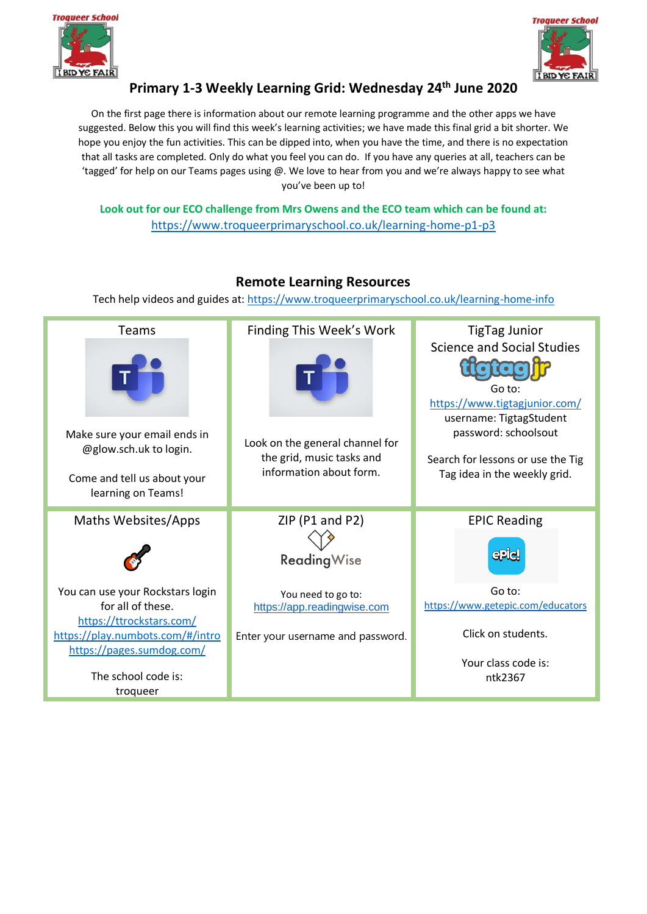



# **Primary 1-3 Weekly Learning Grid: Wednesday 24th June 2020**

On the first page there is information about our remote learning programme and the other apps we have suggested. Below this you will find this week's learning activities; we have made this final grid a bit shorter. We hope you enjoy the fun activities. This can be dipped into, when you have the time, and there is no expectation that all tasks are completed. Only do what you feel you can do. If you have any queries at all, teachers can be 'tagged' for help on our Teams pages using @. We love to hear from you and we're always happy to see what you've been up to!

**Look out for our ECO challenge from Mrs Owens and the ECO team which can be found at:**  [https://www.troqueerprimaryschool.co.uk/learning-home-p1-p3](about:blank)

#### Finding This Week's Work Teams TigTag Junior Science and Social Studies Go to: [https://www.tigtagjunior.com/](about:blank) username: TigtagStudent password: schoolsout Make sure your email ends in Look on the general channel for @glow.sch.uk to login. the grid, music tasks and Search for lessons or use the Tig information about form. Tag idea in the weekly grid. Come and tell us about your learning on Teams! ZIP (P1 and P2) Maths Websites/Apps EPIC Reading  $\bullet$ **epiel Reading Wise** You can use your Rockstars login Go to: You need to go to: [https://www.getepic.com/educators](about:blank) for all of these. [https://app.readingwise.com](about:blank) [https://ttrockstars.com/](about:blank) Click on students. [https://play.numbots.com/#/intro](about:blank#/intro) Enter your username and password. [https://pages.sumdog.com/](about:blank) Your class code is: The school code is: ntk2367troqueer

## **Remote Learning Resources**

Tech help videos and guides at: [https://www.troqueerprimaryschool.co.uk/learning-home-info](about:blank)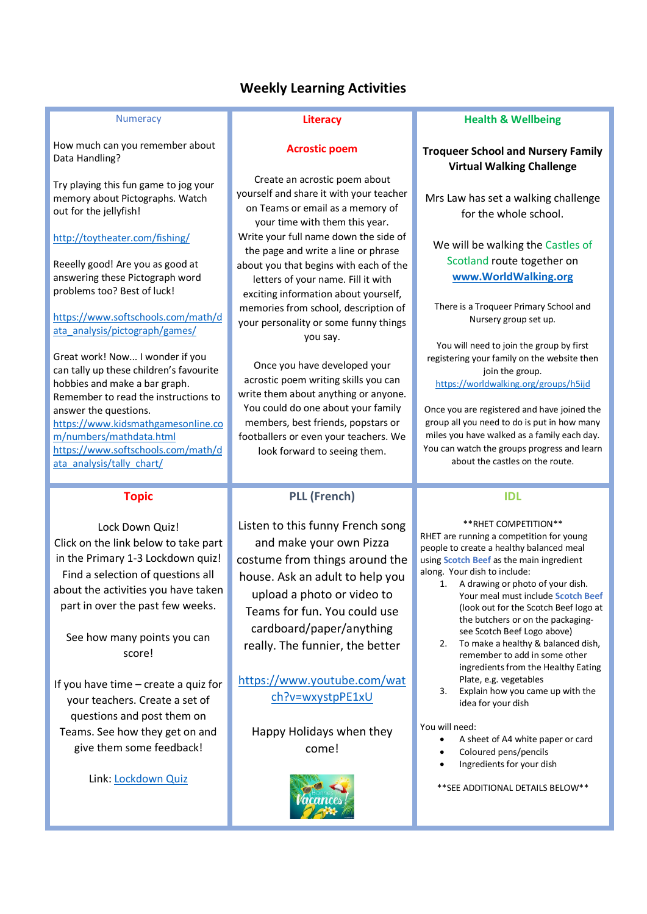## **Weekly Learning Activities**

### **Numeracy**

How much can you remember about Data Handling?

Try playing this fun game to jog your memory about Pictographs. Watch out for the jellyfish!

<http://toytheater.com/fishing/>

Reeelly good! Are you as good at answering these Pictograph word problems too? Best of luck!

[https://www.softschools.com/math/d](https://www.softschools.com/math/data_analysis/pictograph/games/) [ata\\_analysis/pictograph/games/](https://www.softschools.com/math/data_analysis/pictograph/games/)

Great work! Now... I wonder if you can tally up these children's favourite hobbies and make a bar graph. Remember to read the instructions to answer the questions. [https://www.kidsmathgamesonline.co](https://www.kidsmathgamesonline.com/numbers/mathdata.html) [m/numbers/mathdata.html](https://www.kidsmathgamesonline.com/numbers/mathdata.html) [https://www.softschools.com/math/d](https://www.softschools.com/math/data_analysis/tally_chart/) [ata\\_analysis/tally\\_chart/](https://www.softschools.com/math/data_analysis/tally_chart/)

## **Topic**

Lock Down Quiz! Click on the link below to take part in the Primary 1-3 Lockdown quiz! Find a selection of questions all about the activities you have taken part in over the past few weeks.

See how many points you can score!

If you have time – create a quiz for your teachers. Create a set of questions and post them on Teams. See how they get on and give them some feedback!

Link: [Lockdown Quiz](https://forms.office.com/Pages/ResponsePage.aspx?id=oyzTzM4Wj0KVQTctawUZKZzSQ64uC1tLt7D6aVyhRpdUNjVJMkg4Q1hFTE1YUEFORVpEVlpaSDBORS4u)

## **Literacy**

### **Acrostic poem**

Create an acrostic poem about yourself and share it with your teacher on Teams or email as a memory of your time with them this year. Write your full name down the side of the page and write a line or phrase about you that begins with each of the letters of your name. Fill it with exciting information about yourself, memories from school, description of your personality or some funny things you say.

Once you have developed your acrostic poem writing skills you can write them about anything or anyone. You could do one about your family members, best friends, popstars or footballers or even your teachers. We look forward to seeing them.

## **PLL (French)**

Listen to this funny French song and make your own Pizza costume from things around the house. Ask an adult to help you upload a photo or video to Teams for fun. You could use cardboard/paper/anything really. The funnier, the better

[https://www.youtube.com/wat](https://www.youtube.com/watch?v=wxystpPE1xU) [ch?v=wxystpPE1xU](https://www.youtube.com/watch?v=wxystpPE1xU)

Happy Holidays when they come!



## **Health & Wellbeing**

## **Troqueer School and Nursery Family Virtual Walking Challenge**

Mrs Law has set a walking challenge for the whole school.

We will be walking the Castles of Scotland route together on **[www.WorldWalking.org](http://www.worldwalking.org/)**

There is a Troqueer Primary School and Nursery group set up.

You will need to join the group by first registering your family on the website then join the group. <https://worldwalking.org/groups/h5ijd>

Once you are registered and have joined the group all you need to do is put in how many miles you have walked as a family each day. You can watch the groups progress and learn about the castles on the route.

## **IDL**

\*\*RHET COMPETITION\*\* RHET are running a competition for young people to create a healthy balanced meal using **Scotch Beef** as the main ingredient along. Your dish to include:

- 1. A drawing or photo of your dish. Your meal must include **Scotch Beef** (look out for the Scotch Beef logo at the butchers or on the packagingsee Scotch Beef Logo above)
- 2. To make a healthy & balanced dish, remember to add in some other ingredients from the Healthy Eating Plate, e.g. vegetables
- 3. Explain how you came up with the idea for your dish

#### You will need:

- A sheet of A4 white paper or card
- Coloured pens/pencils
- Ingredients for your dish

\*\*SEE ADDITIONAL DETAILS BELOW\*\*